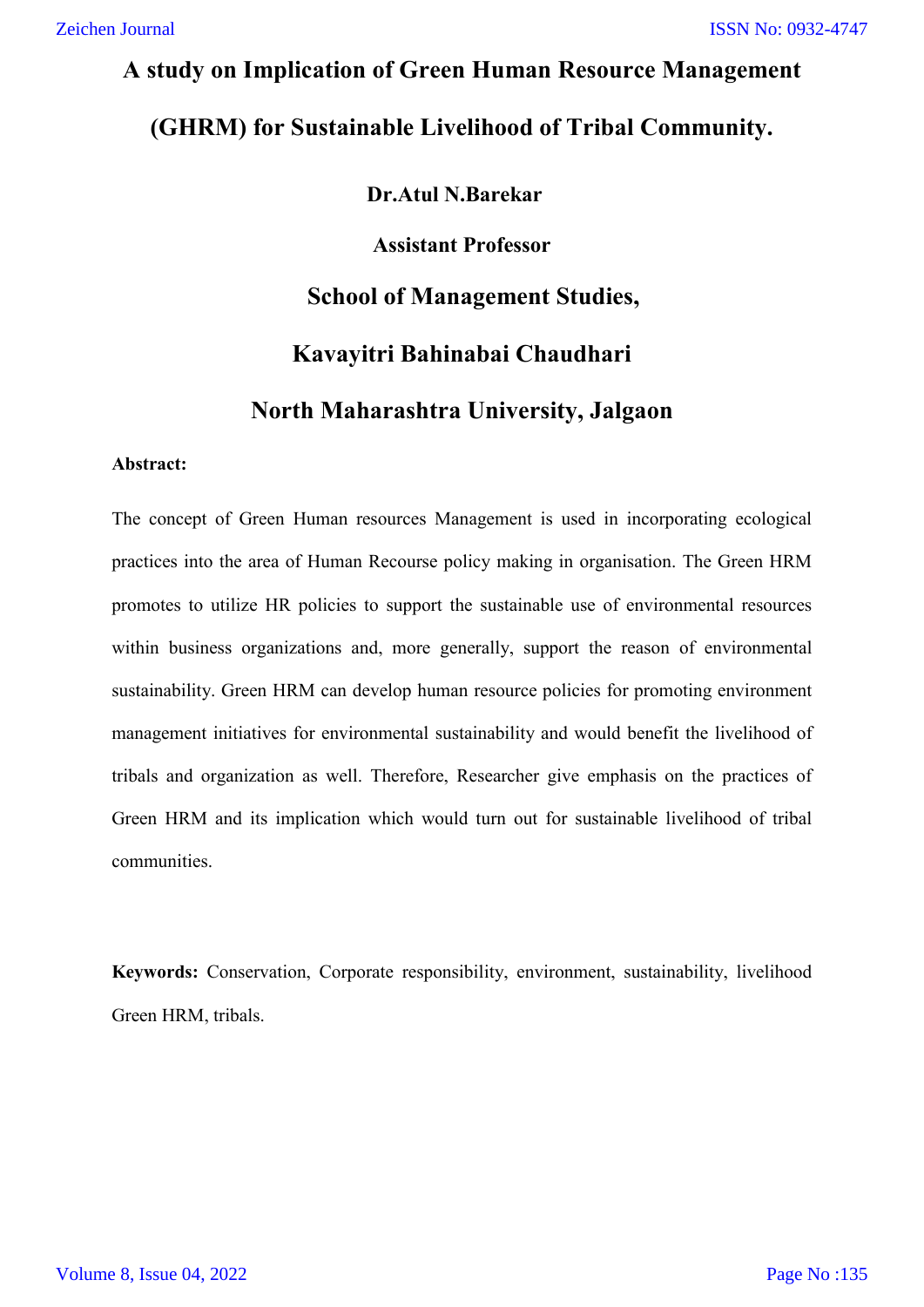# **A study on Implication of Green Human Resource Management (GHRM) for Sustainable Livelihood of Tribal Community.**

# **Dr.Atul N.Barekar**

**Assistant Professor**

# **School of Management Studies,**

# **Kavayitri Bahinabai Chaudhari**

# **North Maharashtra University, Jalgaon**

## **Abstract:**

The concept of Green Human resources Management is used in incorporating ecological practices into the area of Human Recourse policy making in organisation. The Green HRM promotes to utilize HR policies to support the sustainable use of environmental resources within business organizations and, more generally, support the reason of environmental sustainability. Green HRM can develop human resource policies for promoting environment management initiatives for environmental sustainability and would benefit the livelihood of tribals and organization as well. Therefore, Researcher give emphasis on the practices of Green HRM and its implication which would turn out for sustainable livelihood of tribal communities.

**Keywords:** Conservation, Corporate responsibility, environment, sustainability, livelihood Green HRM, tribals.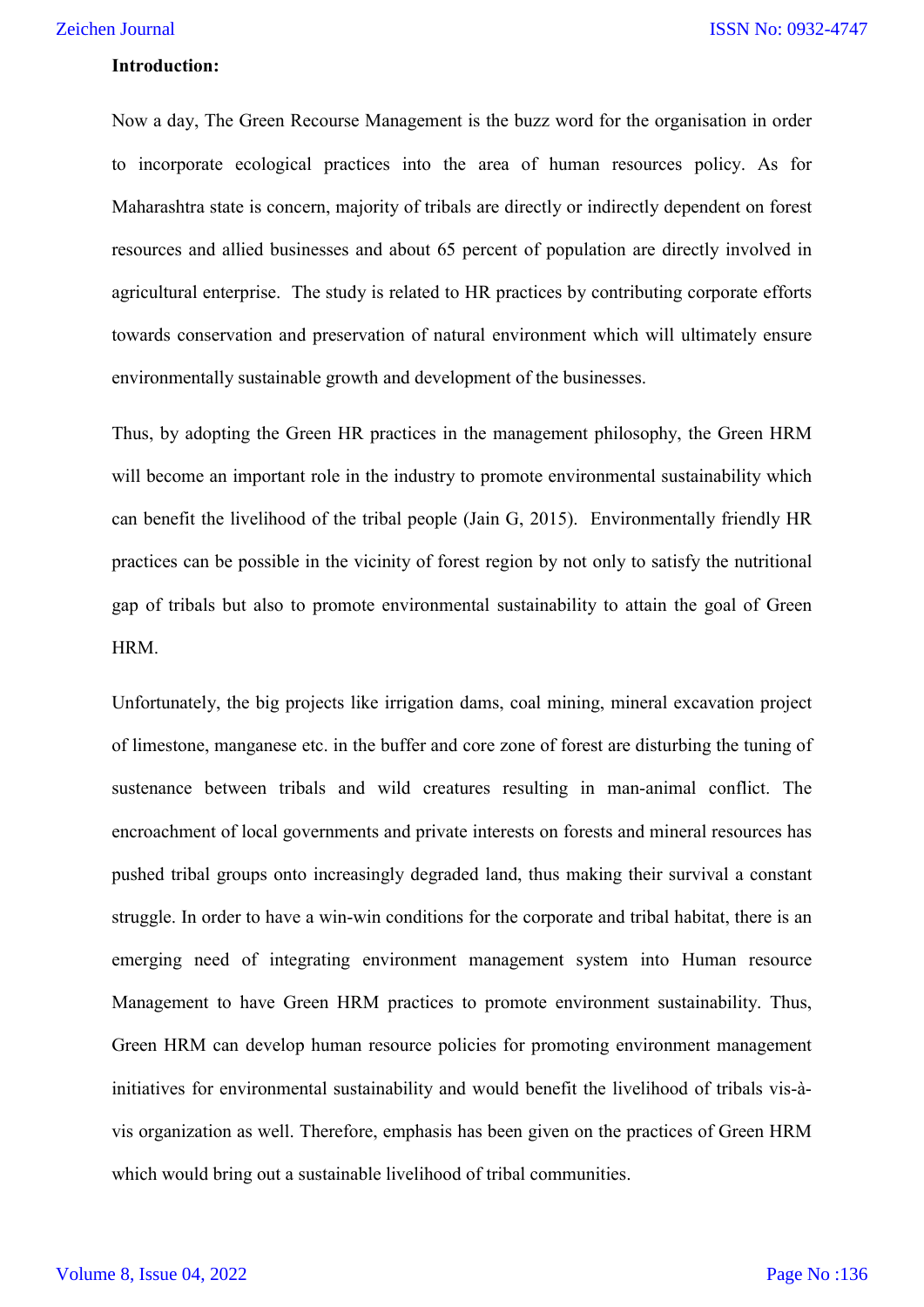#### **Introduction:**

Now a day, The Green Recourse Management is the buzz word for the organisation in order to incorporate ecological practices into the area of human resources policy. As for Maharashtra state is concern, majority of tribals are directly or indirectly dependent on forest resources and allied businesses and about 65 percent of population are directly involved in agricultural enterprise. The study is related to HR practices by contributing corporate efforts towards conservation and preservation of natural environment which will ultimately ensure environmentally sustainable growth and development of the businesses.

Thus, by adopting the Green HR practices in the management philosophy, the Green HRM will become an important role in the industry to promote environmental sustainability which can benefit the livelihood of the tribal people (Jain G, 2015). Environmentally friendly HR practices can be possible in the vicinity of forest region by not only to satisfy the nutritional gap of tribals but also to promote environmental sustainability to attain the goal of Green HRM.

Unfortunately, the big projects like irrigation dams, coal mining, mineral excavation project of limestone, manganese etc. in the buffer and core zone of forest are disturbing the tuning of sustenance between tribals and wild creatures resulting in man-animal conflict. The encroachment of local governments and private interests on forests and mineral resources has pushed tribal groups onto increasingly degraded land, thus making their survival a constant struggle. In order to have a win-win conditions for the corporate and tribal habitat, there is an emerging need of integrating environment management system into Human resource Management to have Green HRM practices to promote environment sustainability. Thus, Green HRM can develop human resource policies for promoting environment management initiatives for environmental sustainability and would benefit the livelihood of tribals vis-àvis organization as well. Therefore, emphasis has been given on the practices of Green HRM which would bring out a sustainable livelihood of tribal communities.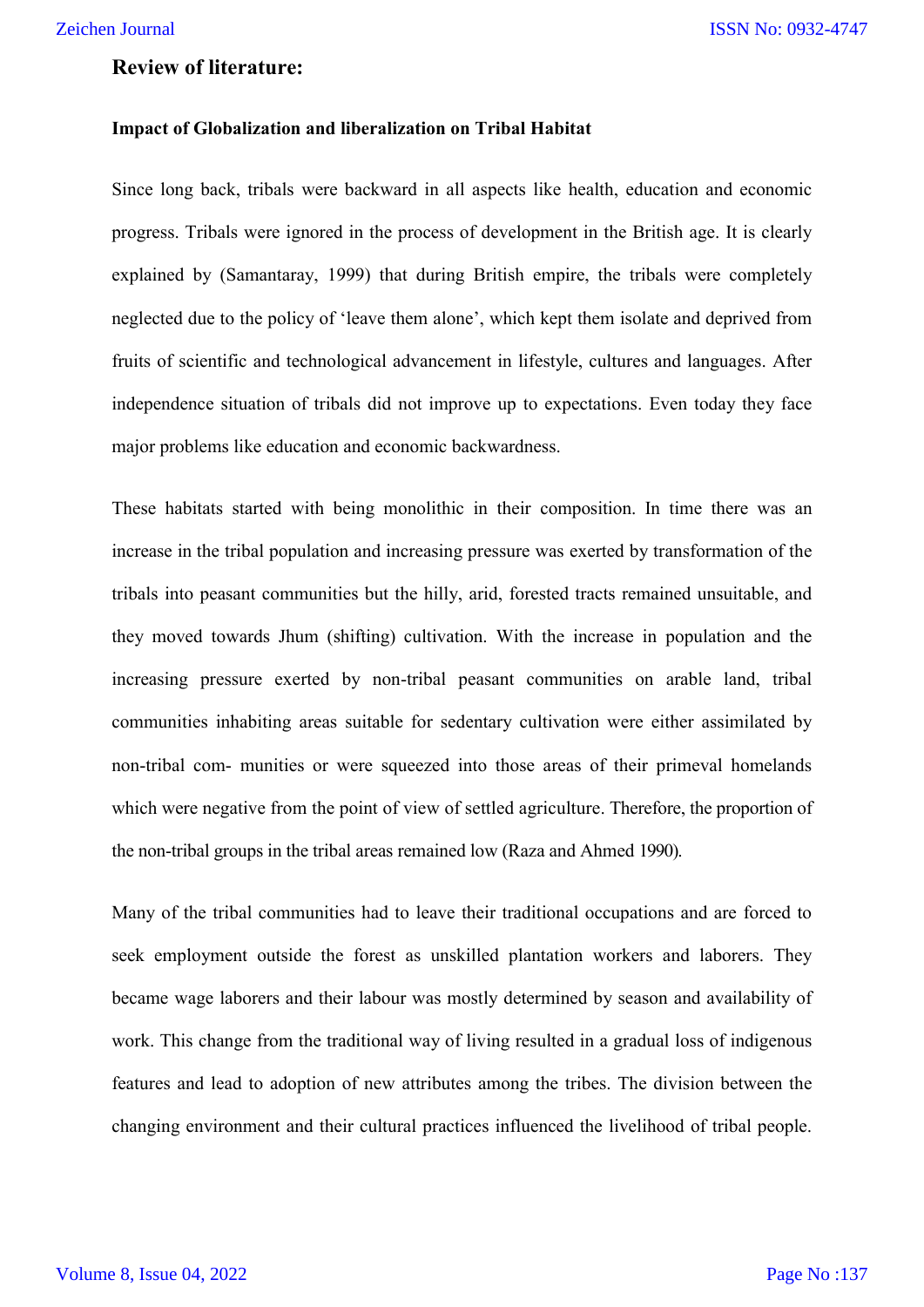## **Review of literature:**

#### **Impact of Globalization and liberalization on Tribal Habitat**

Since long back, tribals were backward in all aspects like health, education and economic progress. Tribals were ignored in the process of development in the British age. It is clearly explained by (Samantaray, 1999) that during British empire, the tribals were completely neglected due to the policy of 'leave them alone', which kept them isolate and deprived from fruits of scientific and technological advancement in lifestyle, cultures and languages. After independence situation of tribals did not improve up to expectations. Even today they face major problems like education and economic backwardness.

These habitats started with being monolithic in their composition. In time there was an increase in the tribal population and increasing pressure was exerted by transformation of the tribals into peasant communities but the hilly, arid, forested tracts remained unsuitable, and they moved towards Jhum (shifting) cultivation. With the increase in population and the increasing pressure exerted by non-tribal peasant communities on arable land, tribal communities inhabiting areas suitable for sedentary cultivation were either assimilated by non-tribal com- munities or were squeezed into those areas of their primeval homelands which were negative from the point of view of settled agriculture. Therefore, the proportion of the non-tribal groups in the tribal areas remained low (Raza and Ahmed 1990).

Many of the tribal communities had to leave their traditional occupations and are forced to seek employment outside the forest as unskilled plantation workers and laborers. They became wage laborers and their labour was mostly determined by season and availability of work. This change from the traditional way of living resulted in a gradual loss of indigenous features and lead to adoption of new attributes among the tribes. The division between the changing environment and their cultural practices influenced the livelihood of tribal people.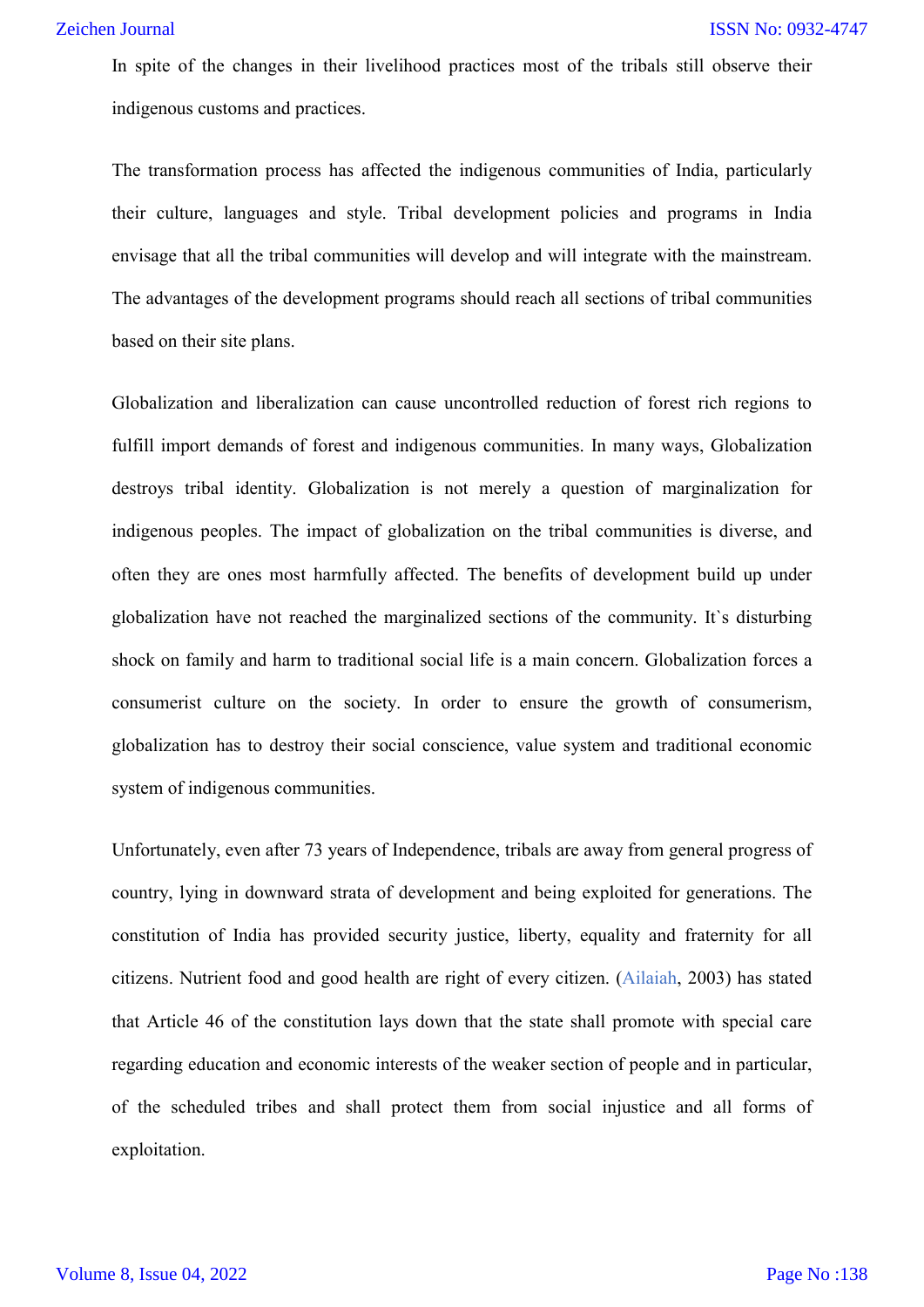In spite of the changes in their livelihood practices most of the tribals still observe their indigenous customs and practices.

The transformation process has affected the indigenous communities of India, particularly their culture, languages and style. Tribal development policies and programs in India envisage that all the tribal communities will develop and will integrate with the mainstream. The advantages of the development programs should reach all sections of tribal communities based on their site plans.

Globalization and liberalization can cause uncontrolled reduction of forest rich regions to fulfill import demands of forest and indigenous communities. In many ways, Globalization destroys tribal identity. Globalization is not merely a question of marginalization for indigenous peoples. The impact of globalization on the tribal communities is diverse, and often they are ones most harmfully affected. The benefits of development build up under globalization have not reached the marginalized sections of the community. It`s disturbing shock on family and harm to traditional social life is a main concern. Globalization forces a consumerist culture on the society. In order to ensure the growth of consumerism, globalization has to destroy their social conscience, value system and traditional economic system of indigenous communities.

Unfortunately, even after 73 years of Independence, tribals are away from general progress of country, lying in downward strata of development and being exploited for generations. The constitution of India has provided security justice, liberty, equality and fraternity for all citizens. Nutrient food and good health are right of every citizen. (Ailaiah, 2003) has stated that Article 46 of the constitution lays down that the state shall promote with special care regarding education and economic interests of the weaker section of people and in particular, of the scheduled tribes and shall protect them from social injustice and all forms of exploitation.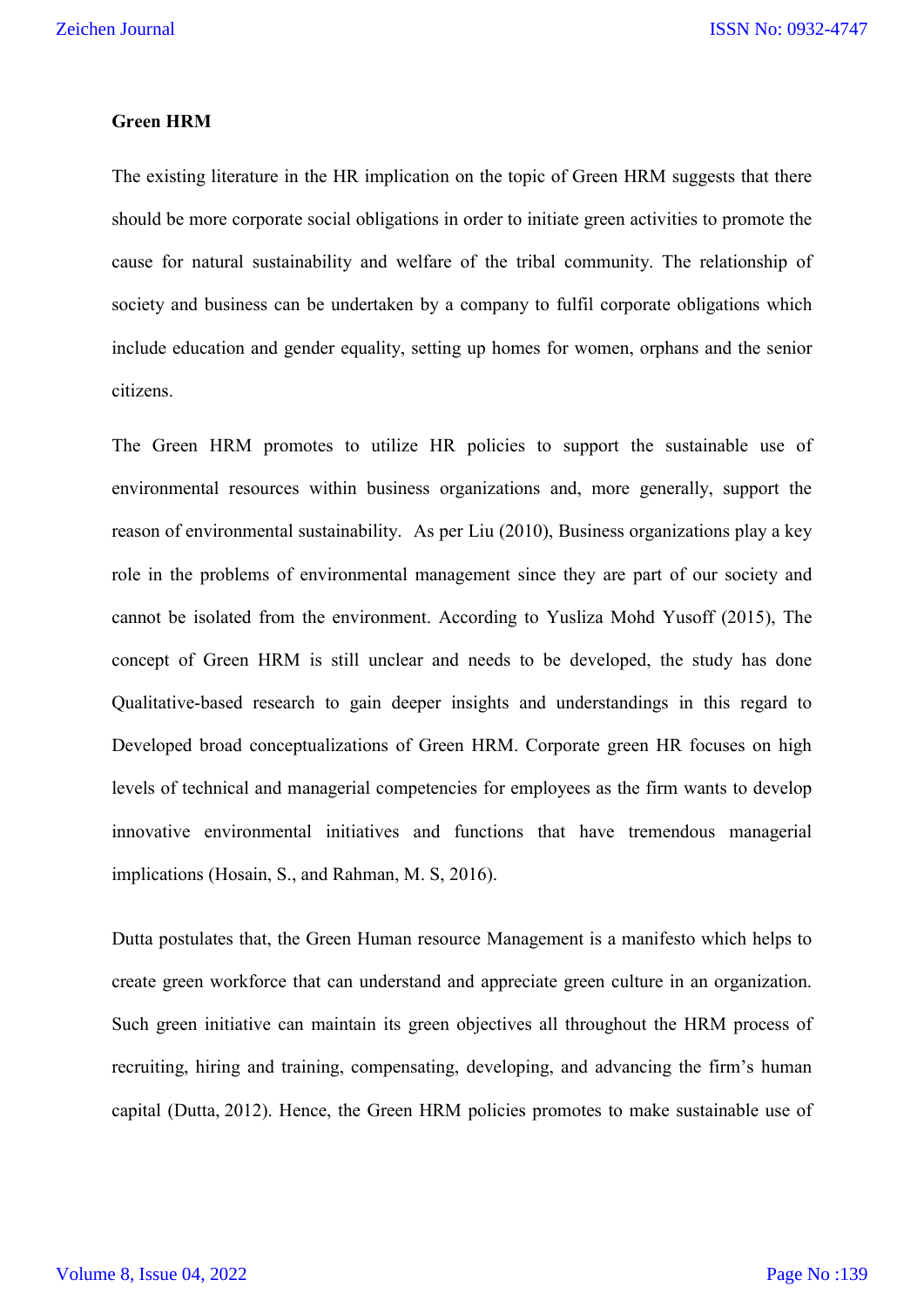#### **Green HRM**

The existing literature in the HR implication on the topic of Green HRM suggests that there should be more corporate social obligations in order to initiate green activities to promote the cause for natural sustainability and welfare of the tribal community. The relationship of society and business can be undertaken by a company to fulfil corporate obligations which include education and gender equality, setting up homes for women, orphans and the senior citizens.

The Green HRM promotes to utilize HR policies to support the sustainable use of environmental resources within business organizations and, more generally, support the reason of environmental sustainability. As per Liu (2010), Business organizations play a key role in the problems of environmental management since they are part of our society and cannot be isolated from the environment. According to Yusliza Mohd Yusoff (2015), The concept of Green HRM is still unclear and needs to be developed, the study has done Qualitative-based research to gain deeper insights and understandings in this regard to Developed broad conceptualizations of Green HRM. Corporate green HR focuses on high levels of technical and managerial competencies for employees as the firm wants to develop innovative environmental initiatives and functions that have tremendous managerial implications (Hosain, S., and Rahman, M. S, 2016).

Dutta postulates that, the Green Human resource Management is a manifesto which helps to create green workforce that can understand and appreciate green culture in an organization. Such green initiative can maintain its green objectives all throughout the HRM process of recruiting, hiring and training, compensating, developing, and advancing the firm's human capital (Dutta, 2012). Hence, the Green HRM policies promotes to make sustainable use of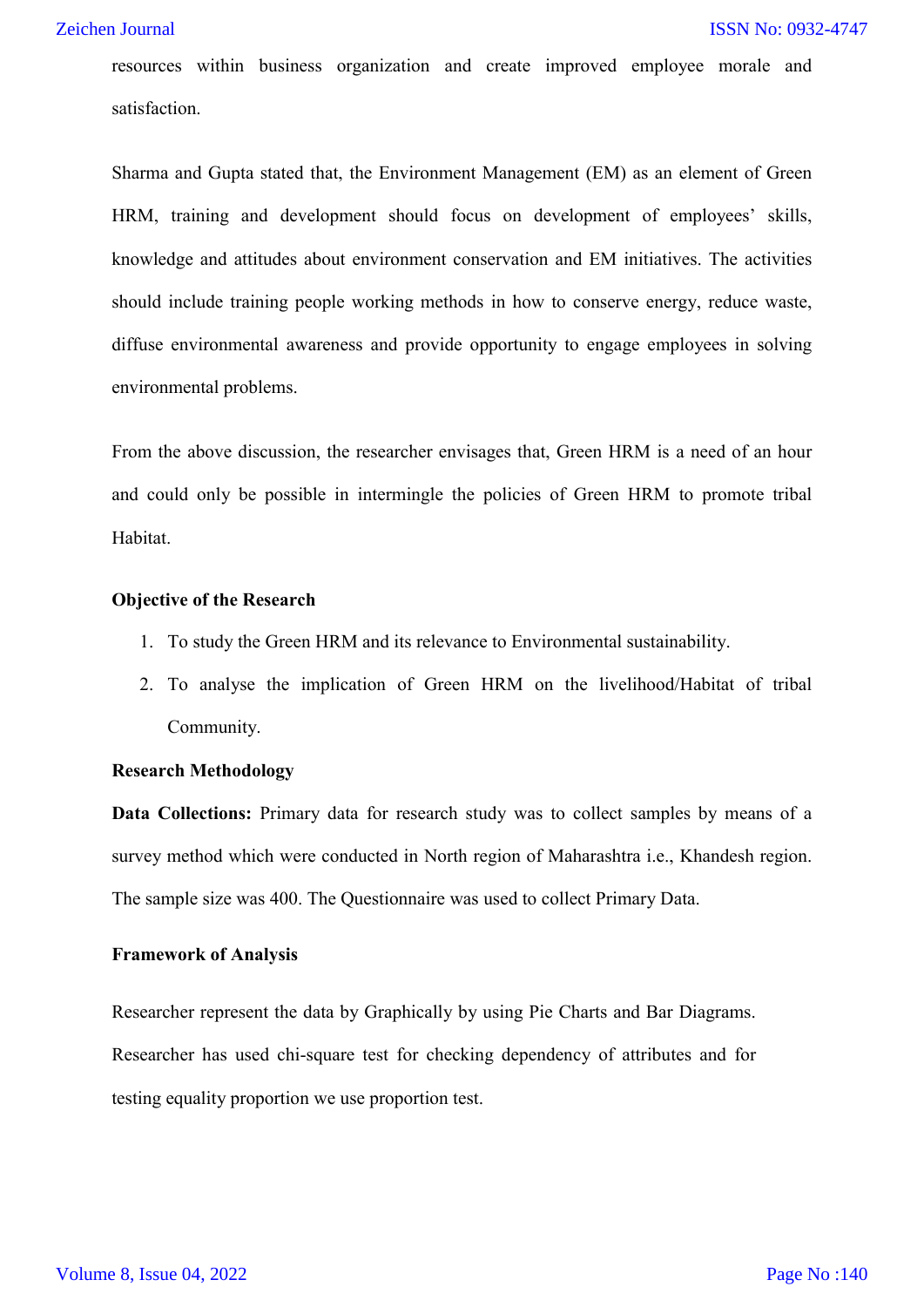#### Zeichen Journal

resources within business organization and create improved employee morale and satisfaction.

Sharma and Gupta stated that, the Environment Management (EM) as an element of Green HRM, training and development should focus on development of employees' skills, knowledge and attitudes about environment conservation and EM initiatives. The activities should include training people working methods in how to conserve energy, reduce waste, diffuse environmental awareness and provide opportunity to engage employees in solving environmental problems.

From the above discussion, the researcher envisages that, Green HRM is a need of an hour and could only be possible in intermingle the policies of Green HRM to promote tribal Habitat.

#### **Objective of the Research**

- 1. To study the Green HRM and its relevance to Environmental sustainability.
- 2. To analyse the implication of Green HRM on the livelihood/Habitat of tribal Community.

#### **Research Methodology**

**Data Collections:** Primary data for research study was to collect samples by means of a survey method which were conducted in North region of Maharashtra i.e., Khandesh region. The sample size was 400. The Questionnaire was used to collect Primary Data.

#### **Framework of Analysis**

Researcher represent the data by Graphically by using Pie Charts and Bar Diagrams. Researcher has used chi-square test for checking dependency of attributes and for testing equality proportion we use proportion test.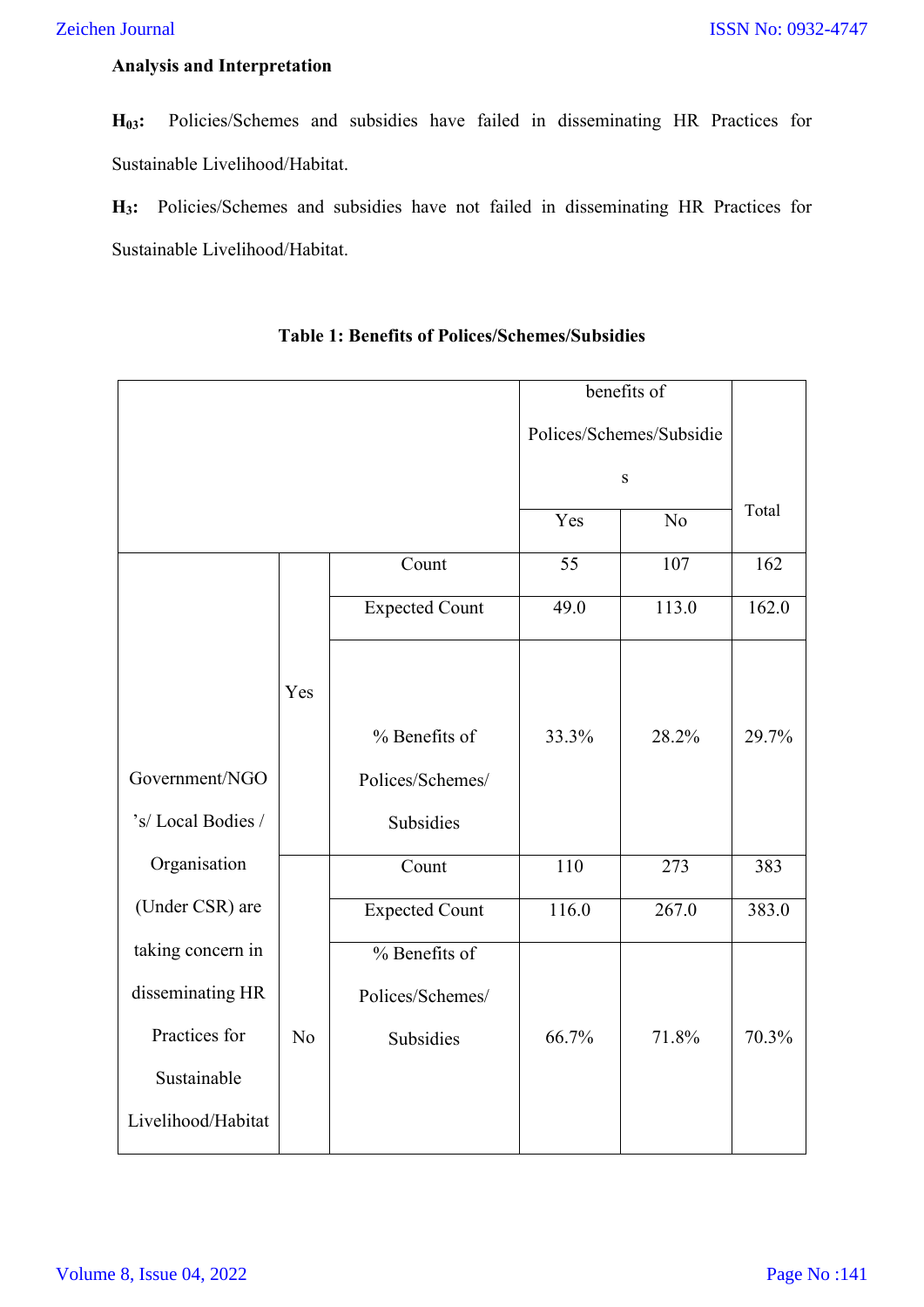## **Analysis and Interpretation**

**H03:** Policies/Schemes and subsidies have failed in disseminating HR Practices for Sustainable Livelihood/Habitat.

**H3:** Policies/Schemes and subsidies have not failed in disseminating HR Practices for Sustainable Livelihood/Habitat.

|                    |                |                       |                          | benefits of        |       |
|--------------------|----------------|-----------------------|--------------------------|--------------------|-------|
|                    |                |                       | Polices/Schemes/Subsidie |                    |       |
|                    |                |                       | S                        |                    |       |
|                    |                |                       | Yes                      | $\overline{No}$    | Total |
|                    |                | Count                 | 55                       | 107                | 162   |
|                    |                | <b>Expected Count</b> | 49.0                     | 113.0              | 162.0 |
|                    |                |                       |                          |                    |       |
|                    | Yes            |                       |                          |                    |       |
|                    |                | % Benefits of         | 33.3%                    | 28.2%              | 29.7% |
| Government/NGO     |                | Polices/Schemes/      |                          |                    |       |
| 's/Local Bodies /  |                | Subsidies             |                          |                    |       |
| Organisation       |                | Count                 | 110                      | 273                | 383   |
| (Under CSR) are    |                | <b>Expected Count</b> | 116.0                    | $\overline{267.0}$ | 383.0 |
| taking concern in  |                | % Benefits of         |                          |                    |       |
| disseminating HR   |                | Polices/Schemes/      |                          |                    |       |
| Practices for      | N <sub>o</sub> | Subsidies             | 66.7%                    | 71.8%              | 70.3% |
| Sustainable        |                |                       |                          |                    |       |
| Livelihood/Habitat |                |                       |                          |                    |       |

## **Table 1: Benefits of Polices/Schemes/Subsidies**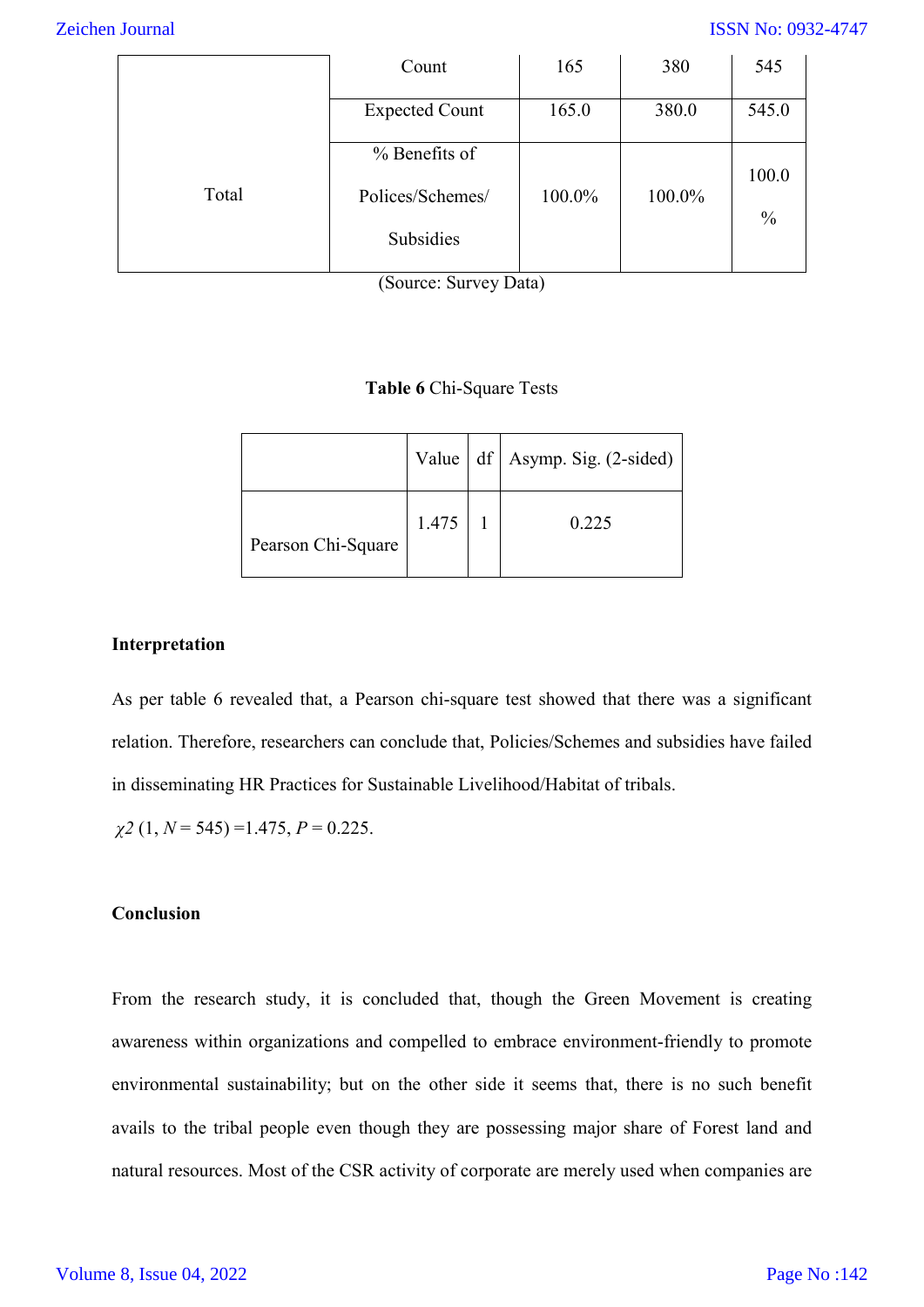#### ISSN No: 0932-4747

|       | Count                 | 165    | 380    | 545           |
|-------|-----------------------|--------|--------|---------------|
|       | <b>Expected Count</b> | 165.0  | 380.0  | 545.0         |
|       | % Benefits of         |        |        | 100.0         |
| Total | Polices/Schemes/      | 100.0% | 100.0% | $\frac{0}{0}$ |
|       | Subsidies             |        |        |               |

(Source: Survey Data)

#### **Table 6** Chi-Square Tests

|                    |       | Value   df   Asymp. Sig. (2-sided) |
|--------------------|-------|------------------------------------|
| Pearson Chi-Square | 1.475 | 0.225                              |

#### **Interpretation**

As per table 6 revealed that, a Pearson chi-square test showed that there was a significant relation. Therefore, researchers can conclude that, Policies/Schemes and subsidies have failed in disseminating HR Practices for Sustainable Livelihood/Habitat of tribals.

$$
\chi
$$
2 (1, N = 545) = 1.475, P = 0.225.

### **Conclusion**

From the research study, it is concluded that, though the Green Movement is creating awareness within organizations and compelled to embrace environment-friendly to promote environmental sustainability; but on the other side it seems that, there is no such benefit avails to the tribal people even though they are possessing major share of Forest land and natural resources. Most of the CSR activity of corporate are merely used when companies are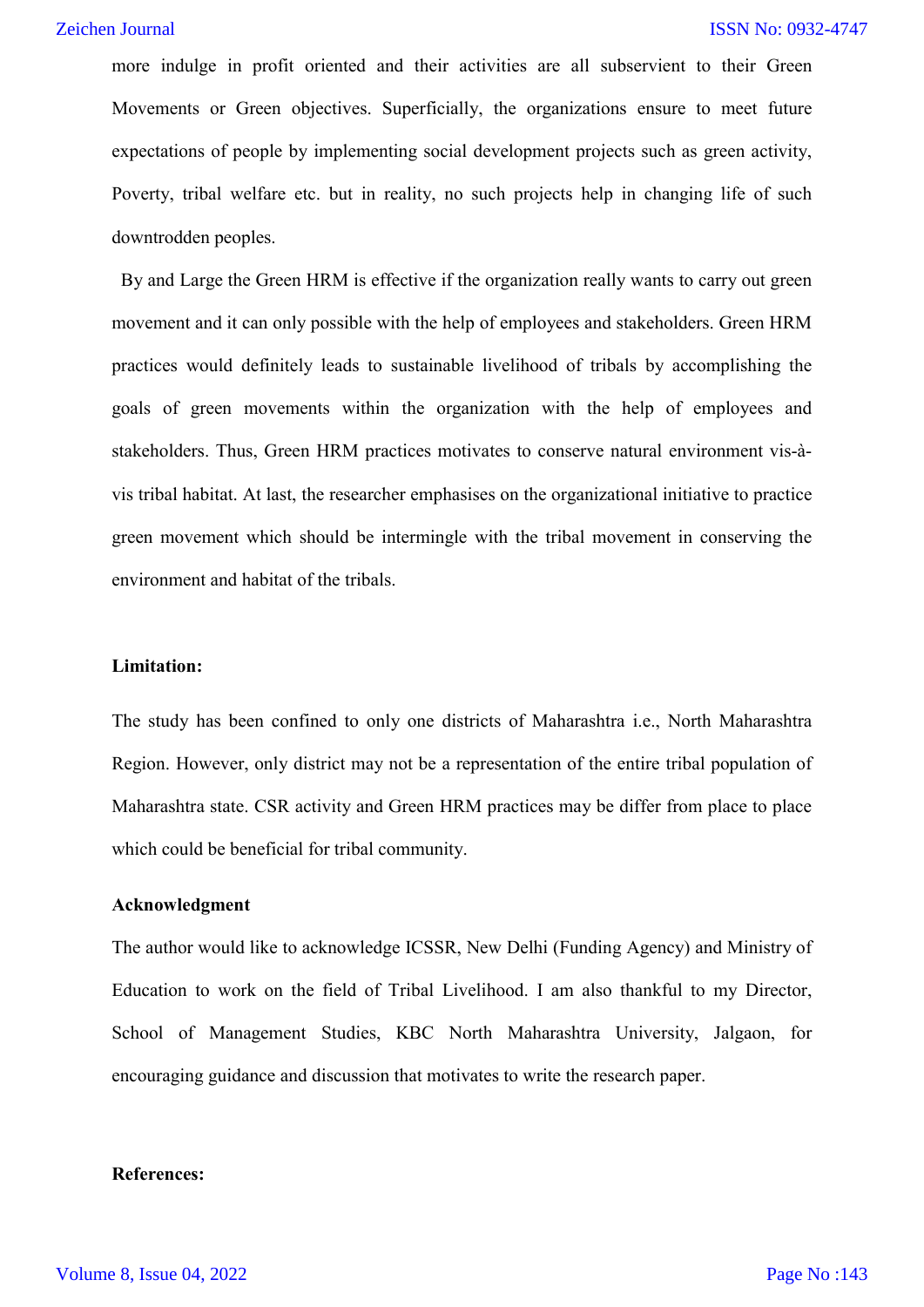more indulge in profit oriented and their activities are all subservient to their Green Movements or Green objectives. Superficially, the organizations ensure to meet future expectations of people by implementing social development projects such as green activity, Poverty, tribal welfare etc. but in reality, no such projects help in changing life of such downtrodden peoples.

By and Large the Green HRM is effective if the organization really wants to carry out green movement and it can only possible with the help of employees and stakeholders. Green HRM practices would definitely leads to sustainable livelihood of tribals by accomplishing the goals of green movements within the organization with the help of employees and stakeholders. Thus, Green HRM practices motivates to conserve natural environment vis-àvis tribal habitat. At last, the researcher emphasises on the organizational initiative to practice green movement which should be intermingle with the tribal movement in conserving the environment and habitat of the tribals.

#### **Limitation:**

The study has been confined to only one districts of Maharashtra i.e., North Maharashtra Region. However, only district may not be a representation of the entire tribal population of Maharashtra state. CSR activity and Green HRM practices may be differ from place to place which could be beneficial for tribal community.

#### **Acknowledgment**

The author would like to acknowledge ICSSR, New Delhi (Funding Agency) and Ministry of Education to work on the field of Tribal Livelihood. I am also thankful to my Director, School of Management Studies, KBC North Maharashtra University, Jalgaon, for encouraging guidance and discussion that motivates to write the research paper.

#### **References:**